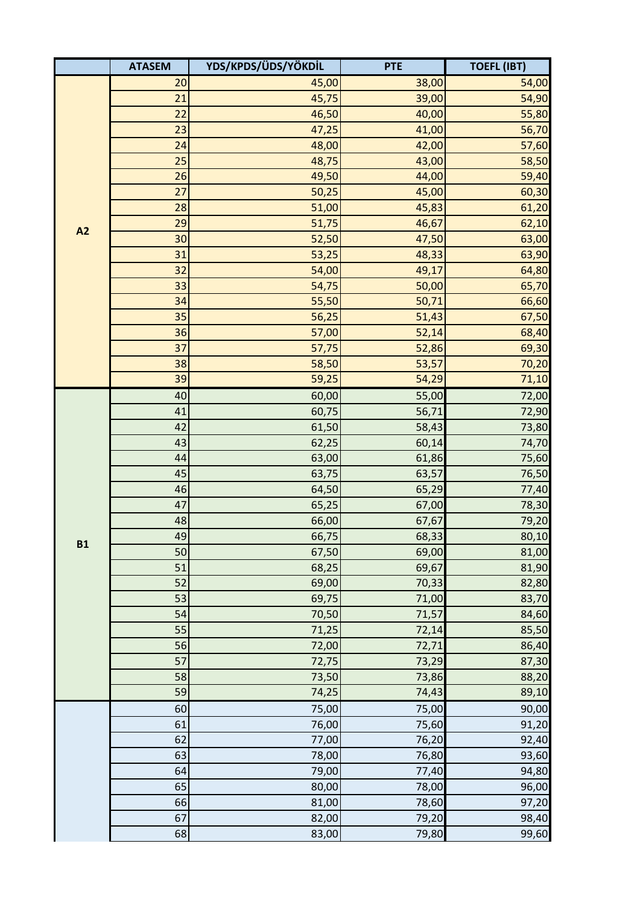|           | <b>ATASEM</b> | YDS/KPDS/ÜDS/YÖKDİL | <b>PTE</b> | <b>TOEFL (IBT)</b> |
|-----------|---------------|---------------------|------------|--------------------|
| A2        | 20            | 45,00               | 38,00      | 54,00              |
|           | 21            | 45,75               | 39,00      | 54,90              |
|           | 22            | 46,50               | 40,00      | 55,80              |
|           | 23            | 47,25               | 41,00      | 56,70              |
|           | 24            | 48,00               | 42,00      | 57,60              |
|           | 25            | 48,75               | 43,00      | 58,50              |
|           | 26            | 49,50               | 44,00      | 59,40              |
|           | 27            | 50,25               | 45,00      | 60,30              |
|           | 28            | 51,00               | 45,83      | 61,20              |
|           | 29            | 51,75               | 46,67      | 62,10              |
|           | 30            | 52,50               | 47,50      | 63,00              |
|           | 31            | 53,25               | 48,33      | 63,90              |
|           | 32            | 54,00               | 49,17      | 64,80              |
|           | 33            | 54,75               | 50,00      | 65,70              |
|           | 34            | 55,50               | 50,71      | 66,60              |
|           | 35            | 56,25               | 51,43      | 67,50              |
|           | 36            | 57,00               | 52,14      | 68,40              |
|           | 37            | 57,75               | 52,86      | 69,30              |
|           | 38            | 58,50               | 53,57      | 70,20              |
|           | 39            | 59,25               | 54,29      | 71,10              |
|           | 40            | 60,00               | 55,00      | 72,00              |
| <b>B1</b> | 41            | 60,75               | 56,71      | 72,90              |
|           | 42            | 61,50               | 58,43      | 73,80              |
|           | 43            | 62,25               | 60,14      | 74,70              |
|           | 44            | 63,00               | 61,86      | 75,60              |
|           | 45            | 63,75               | 63,57      | 76,50              |
|           | 46            | 64,50               | 65,29      | 77,40              |
|           | 47            | 65,25               | 67,00      | 78,30              |
|           | 48            | 66,00               | 67,67      | 79,20              |
|           | 49            | 66,75               | 68,33      | 80,10              |
|           | 50            | 67,50               | 69,00      | 81,00              |
|           | 51            | 68,25               | 69,67      | 81,90              |
|           | 52            | 69,00               | 70,33      | 82,80              |
|           | 53            | 69,75               | 71,00      | 83,70              |
|           | 54            | 70,50               | 71,57      | 84,60              |
|           | 55            | 71,25               | 72,14      | 85,50              |
|           | 56            | 72,00               | 72,71      | 86,40              |
|           | 57            | 72,75               | 73,29      | 87,30              |
|           | 58            | 73,50               | 73,86      | 88,20              |
|           | 59            | 74,25               | 74,43      | 89,10              |
|           | 60            | 75,00               | 75,00      | 90,00              |
|           | 61            | 76,00               | 75,60      | 91,20              |
|           | 62            | 77,00               | 76,20      | 92,40              |
|           | 63            | 78,00               | 76,80      | 93,60              |
|           | 64            | 79,00               | 77,40      | 94,80              |
|           | 65            | 80,00               | 78,00      | 96,00              |
|           | 66            | 81,00               | 78,60      | 97,20              |
|           | 67            | 82,00               | 79,20      | 98,40              |
|           | 68            | 83,00               | 79,80      | 99,60              |